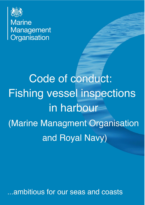

**Marine** Management Organisation

Code of conduct: **Fishing vessel inspections** in harbour (Marine Managment Organisation and Royal Navy)

...ambitious for our seas and coasts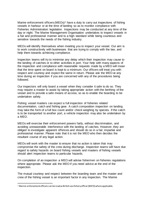Marine enforcement officers (MEOs)<sup>[1](#page-1-0)</sup> have a duty to carry out inspections of fishing vessels in harbour or at the time of landing so as to monitor compliance with Fisheries Administration legislation. Inspections may be conducted at any time of the day or night. The Marine Management Organisation undertakes to inspect vessels in a fair and professional manner and to a high standard while being courteous and sensitive towards the needs of the fishing industry.

MEOs will identify themselves when meeting you to inspect your vessel. Our aim is to work constructively with businesses that are trying to comply with the law, and help them towards achieving compliance.

Inspection teams will try to minimise any delay which their inspection may cause to the landing of catches or to other activities in port. Your help with many aspects of the inspection and compliance with reasonable requests made by a MEO will mean that the time spent on board is kept to a minimum. Our officers will treat you with respect and courtesy and expect the same in return. Please ask the MEO at any time during an inspection if you are concerned with any of the procedures being followed.

Our inspectors will only board a vessel when they consider it safe to do so. They may require a master to assist by taking appropriate action with the berthing of the vessel and to provide a safe means of access, so as to enable the boarding to be undertaken safely.

Fishing vessel masters can expect a full inspection of fisheries related documentation, catch and fishing gear. A catch composition inspection on landing may take the form of a full box count and/or check weighing by species. If the catch is to be transported to another port, a vehicle inspection may also be undertaken by a MEO.

MEOs will exercise their enforcement powers fairly, without discrimination, and avoiding unreasonable interference with the landing of catches. However, they are obliged to investigate apparent offences and should do so in a fair, impartial and professional manner. Please note that it is not the MEO who then decides the resultant course of any legal action.

MEOs will work with the master to ensure that no action is taken that may compromise the safety of the crew during discharge. Inspection teams will have due regard to safety hazards on board fishing vessels and masters of fishing vessels should alert inspection teams to particular hazards.

On completion of an inspection a MEO will advise fishermen on fisheries regulations where appropriate. Please ask the MEO if you need advice at the end of the inspection.

The mutual courtesy and respect between the boarding team and the master and crew of the fishing vessel is an important factor in any inspection. The Marine

<span id="page-1-0"></span> $1$  Marine enforcement officers can be read as British sea fishery officer (BSFO) where applicable.